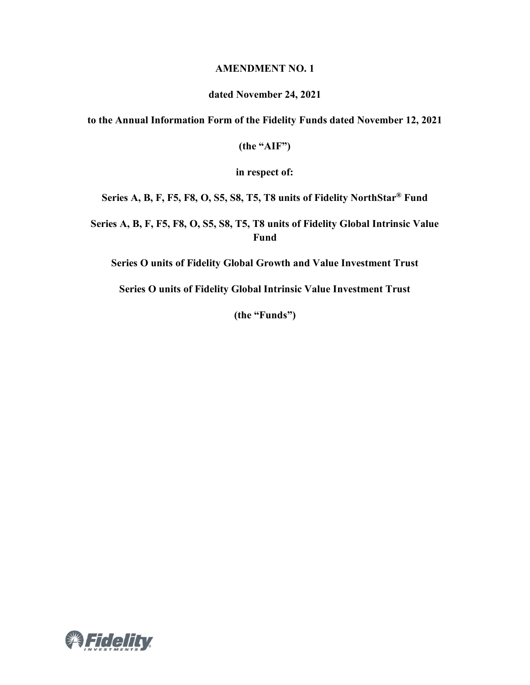### **AMENDMENT NO. 1**

#### **dated November 24, 2021**

**to the Annual Information Form of the Fidelity Funds dated November 12, 2021**

**(the "AIF")**

**in respect of:**

**Series A, B, F, F5, F8, O, S5, S8, T5, T8 units of Fidelity NorthStar® Fund**

**Series A, B, F, F5, F8, O, S5, S8, T5, T8 units of Fidelity Global Intrinsic Value Fund**

**Series O units of Fidelity Global Growth and Value Investment Trust**

**Series O units of Fidelity Global Intrinsic Value Investment Trust**

**(the "Funds")**

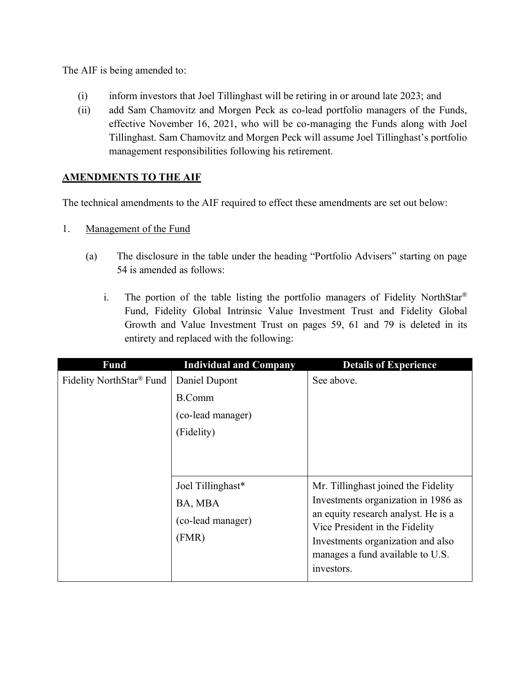The AIF is being amended to:

- (i) inform investors that Joel Tillinghast will be retiring in or around late 2023; and
- (ii) add Sam Chamovitz and Morgen Peck as co-lead portfolio managers of the Funds, effective November 16, 2021, who will be co-managing the Funds along with Joel Tillinghast. Sam Chamovitz and Morgen Peck will assume Joel Tillinghast's portfolio management responsibilities following his retirement.

# **AMENDMENTS TO THE AIF**

The technical amendments to the AIF required to effect these amendments are set out below:

- 1. Management of the Fund
	- (a) The disclosure in the table under the heading "Portfolio Advisers" starting on page 54 is amended as follows:
		- i. The portion of the table listing the portfolio managers of Fidelity NorthStar<sup>®</sup> Fund, Fidelity Global Intrinsic Value Investment Trust and Fidelity Global Growth and Value Investment Trust on pages 59, 61 and 79 is deleted in its entirety and replaced with the following:

| <b>Fund</b>              | <b>Individual and Company</b>                              | <b>Details of Experience</b>                                                                                                                                                                                                               |
|--------------------------|------------------------------------------------------------|--------------------------------------------------------------------------------------------------------------------------------------------------------------------------------------------------------------------------------------------|
| Fidelity NorthStar® Fund | Daniel Dupont<br>B.Comm<br>(co-lead manager)               | See above.                                                                                                                                                                                                                                 |
|                          | (Fidelity)                                                 |                                                                                                                                                                                                                                            |
|                          | Joel Tillinghast*<br>BA, MBA<br>(co-lead manager)<br>(FMR) | Mr. Tillinghast joined the Fidelity<br>Investments organization in 1986 as<br>an equity research analyst. He is a<br>Vice President in the Fidelity<br>Investments organization and also<br>manages a fund available to U.S.<br>investors. |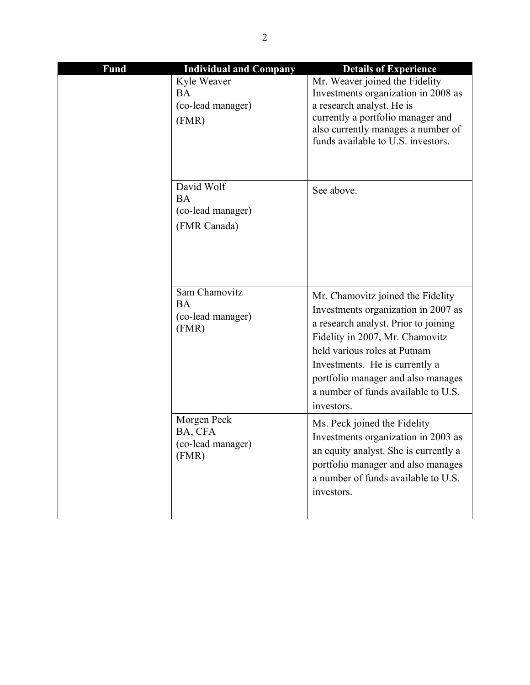| <b>Fund</b> | <b>Individual and Company</b>                                | <b>Details of Experience</b>                                                                                                                                                                                                                                                                                     |
|-------------|--------------------------------------------------------------|------------------------------------------------------------------------------------------------------------------------------------------------------------------------------------------------------------------------------------------------------------------------------------------------------------------|
|             | Kyle Weaver<br>BA<br>(co-lead manager)<br>(FMR)              | Mr. Weaver joined the Fidelity<br>Investments organization in 2008 as<br>a research analyst. He is<br>currently a portfolio manager and<br>also currently manages a number of<br>funds available to U.S. investors.                                                                                              |
|             | David Wolf<br><b>BA</b><br>(co-lead manager)<br>(FMR Canada) | See above.                                                                                                                                                                                                                                                                                                       |
|             | Sam Chamovitz<br><b>BA</b><br>(co-lead manager)<br>(FMR)     | Mr. Chamovitz joined the Fidelity<br>Investments organization in 2007 as<br>a research analyst. Prior to joining<br>Fidelity in 2007, Mr. Chamovitz<br>held various roles at Putnam<br>Investments. He is currently a<br>portfolio manager and also manages<br>a number of funds available to U.S.<br>investors. |
|             | Morgen Peck<br>BA, CFA<br>(co-lead manager)<br>(FMR)         | Ms. Peck joined the Fidelity<br>Investments organization in 2003 as<br>an equity analyst. She is currently a<br>portfolio manager and also manages<br>a number of funds available to U.S.<br>investors.                                                                                                          |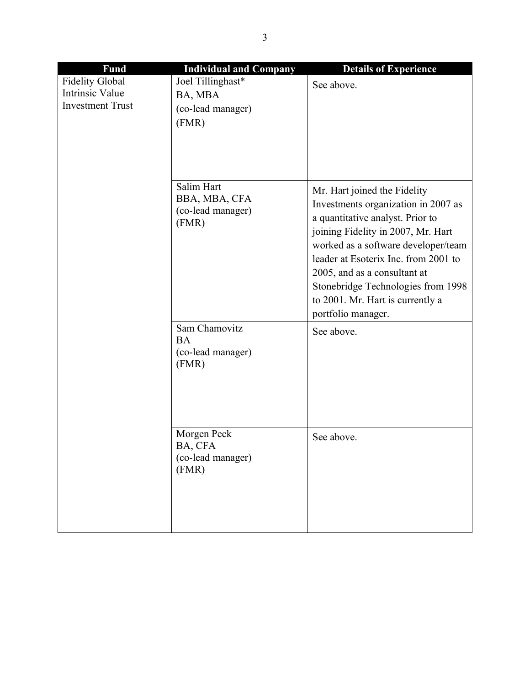| <b>Fund</b>                                                                 | <b>Individual and Company</b>                              | <b>Details of Experience</b>                                                                                                                                                                                                                                                                                                                                 |
|-----------------------------------------------------------------------------|------------------------------------------------------------|--------------------------------------------------------------------------------------------------------------------------------------------------------------------------------------------------------------------------------------------------------------------------------------------------------------------------------------------------------------|
| <b>Fidelity Global</b><br><b>Intrinsic Value</b><br><b>Investment Trust</b> | Joel Tillinghast*<br>BA, MBA<br>(co-lead manager)<br>(FMR) | See above.                                                                                                                                                                                                                                                                                                                                                   |
|                                                                             | Salim Hart<br>BBA, MBA, CFA<br>(co-lead manager)<br>(FMR)  | Mr. Hart joined the Fidelity<br>Investments organization in 2007 as<br>a quantitative analyst. Prior to<br>joining Fidelity in 2007, Mr. Hart<br>worked as a software developer/team<br>leader at Esoterix Inc. from 2001 to<br>2005, and as a consultant at<br>Stonebridge Technologies from 1998<br>to 2001. Mr. Hart is currently a<br>portfolio manager. |
|                                                                             | Sam Chamovitz<br><b>BA</b><br>(co-lead manager)<br>(FMR)   | See above.                                                                                                                                                                                                                                                                                                                                                   |
|                                                                             | Morgen Peck<br>BA, CFA<br>(co-lead manager)<br>(FMR)       | See above.                                                                                                                                                                                                                                                                                                                                                   |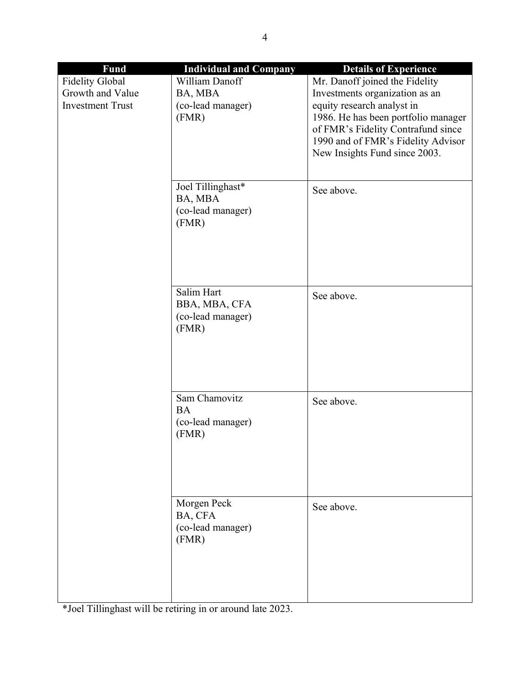| <b>Fund</b>             | <b>Individual and Company</b> | <b>Details of Experience</b>        |
|-------------------------|-------------------------------|-------------------------------------|
| <b>Fidelity Global</b>  | William Danoff                | Mr. Danoff joined the Fidelity      |
| Growth and Value        | BA, MBA                       | Investments organization as an      |
| <b>Investment Trust</b> | (co-lead manager)             | equity research analyst in          |
|                         | (FMR)                         | 1986. He has been portfolio manager |
|                         |                               | of FMR's Fidelity Contrafund since  |
|                         |                               | 1990 and of FMR's Fidelity Advisor  |
|                         |                               | New Insights Fund since 2003.       |
|                         |                               |                                     |
|                         | Joel Tillinghast*             | See above.                          |
|                         | BA, MBA                       |                                     |
|                         | (co-lead manager)             |                                     |
|                         | (FMR)                         |                                     |
|                         |                               |                                     |
|                         |                               |                                     |
|                         |                               |                                     |
|                         |                               |                                     |
|                         | Salim Hart                    | See above.                          |
|                         | BBA, MBA, CFA                 |                                     |
|                         | (co-lead manager)<br>(FMR)    |                                     |
|                         |                               |                                     |
|                         |                               |                                     |
|                         |                               |                                     |
|                         |                               |                                     |
|                         | Sam Chamovitz                 | See above.                          |
|                         | <b>BA</b>                     |                                     |
|                         | (co-lead manager)             |                                     |
|                         | (FMR)                         |                                     |
|                         |                               |                                     |
|                         |                               |                                     |
|                         |                               |                                     |
|                         |                               |                                     |
|                         | Morgen Peck                   | See above.                          |
|                         | BA, CFA                       |                                     |
|                         | (co-lead manager)<br>(FMR)    |                                     |
|                         |                               |                                     |
|                         |                               |                                     |
|                         |                               |                                     |
|                         |                               |                                     |
|                         |                               |                                     |

\*Joel Tillinghast will be retiring in or around late 2023.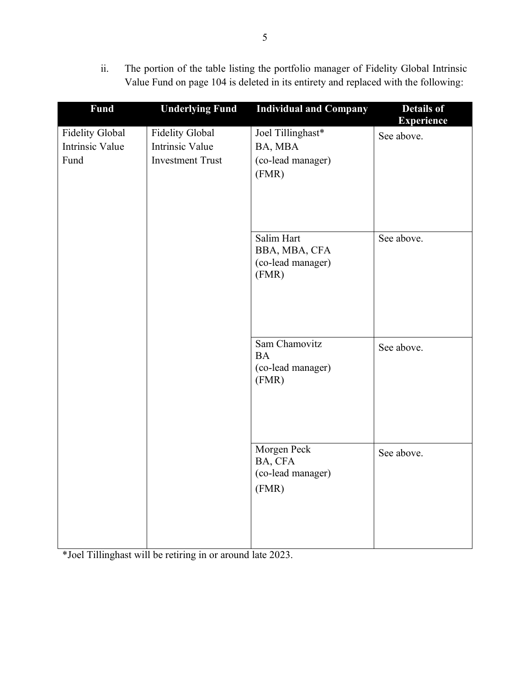ii. The portion of the table listing the portfolio manager of Fidelity Global Intrinsic Value Fund on page 104 is deleted in its entirety and replaced with the following:

| <b>Fund</b>                                              | <b>Underlying Fund</b>                                                      | <b>Individual and Company</b>                              | <b>Details of</b><br><b>Experience</b> |
|----------------------------------------------------------|-----------------------------------------------------------------------------|------------------------------------------------------------|----------------------------------------|
| <b>Fidelity Global</b><br><b>Intrinsic Value</b><br>Fund | <b>Fidelity Global</b><br><b>Intrinsic Value</b><br><b>Investment Trust</b> | Joel Tillinghast*<br>BA, MBA<br>(co-lead manager)<br>(FMR) | See above.                             |
|                                                          |                                                                             | Salim Hart<br>BBA, MBA, CFA<br>(co-lead manager)<br>(FMR)  | See above.                             |
|                                                          |                                                                             | Sam Chamovitz<br><b>BA</b><br>(co-lead manager)<br>(FMR)   | See above.                             |
|                                                          |                                                                             | Morgen Peck<br>BA, CFA<br>(co-lead manager)<br>(FMR)       | See above.                             |

\*Joel Tillinghast will be retiring in or around late 2023.